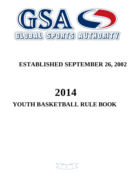

### **ESTABLISHED SEPTEMBER 26, 2002**

## **2014 YOUTH BASKETBALL RULE BOOK**

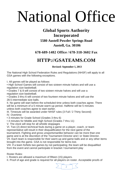# National Office

#### **Global Sports Authority Incorporated 5580 Austell Powder Springs Road Austell, Ga. 30106**

#### **678-689-1482 Office / 678-318-3602 Fax**

#### **[HTTP://GSATEAMS.COM](http://gsateams.com/)**

#### **Revised: September 1, 2013**

The National High School Federation Rules and Regulations (NHSF) will apply to all GSA games with the following exceptions.

I. All games will be played as follows:

• High School Games will consist of two sixteen minute halves and will use a regulation size basketball.

• Grades 7 & 8 will consist of two sixteen minute halves and will use a regulation size basketball.

• Grades 3 thru 6 will consist of two fourteen minute halves and will use the 28.5 intermediate size balls.

II. No game will start before the scheduled time unless both coaches agree. There will be a minimum of a 5 minute warm-up period. Halftime will be 5 minutes unless both coaches agree to start earlier.

III. Timeouts will be awarded under NHSF rules (3 Full / 2 Thirty Second) IV. Overtime:

• 3 minutes for Grade School (Grades 3 thru 6)

• 4 minutes for Middle and High School (Grades 7 thru 11)

V. The clock will stop for all whistle stoppages

VI. Two (2) direct technical fouls during a game on a player, coach, or team representative will result in their disqualification for the next game of the tournament. Fighting and gross unsportsmanlike behavior can be more than one game and is at the discretion of the Tournament Director and / or State Director.

VII. Each team is responsible for their warm-up and game balls and or any other items brought into the game. GSA is not responsible for items lost.

VIII. If a team forfeits two games by not participating; the team will be disqualified from the event and cannot participate in bracket / tournament play

Roster Rules:

I. Rosters are allowed a maximum of fifteen (15) players.

II. Proof of age and grade is required for all players on roster. Acceptable proofs of

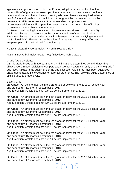age are; clean photocopies of birth certificates, adoption papers, or immigration papers. Proof of grade is a clean copy of any report card of the current school year or school document that indicates current grade level. Teams are required to have proof of age and grade upon check-in and throughout the tournament. It must be presented to GSA representative / tournament director upon request.

III. No roster additions will be permitted after the team has begun play of its first tournament game within any tournament.

IV. Teams participating in the National Tournament are allowed to add three (3) additional players that were not on the roster at the time of their qualification. The three players may be added at anytime between the state qualifying event and the National TOC. Players can not be added from teams that have qualified and are participating in the National Championship.

\* GSA Basketball National Rules \* \* Youth Boys & Girls \*

National Basketball Rules (Page Two) (Effective March 1, 2014)

Grade / Age Divisions:

GSA is grade based with age parameters and limitations determined by birth dates that allow players in each division to compete against other players currently at the same grade / age level. A player may qualify under the age exception rule if they have been advanced in grade due to academic excellence or parental preference. The following guide determines all eligible ages at grade levels.

Boys & Girls

3rd Grade - An athlete must be in the 3rd grade or below for the 2013-14 school year and cannot turn 11 prior to September 1, 2013. Age Exception: Athlete does not turn 10 before September 1, 2013.

4th Grade - An athlete must be in the 4th grade or below for the 2013-14 school year and cannot turn 12 prior to September 1, 2013. Age Exception: Athlete does not turn 11 before September 1, 2013.

5th Grade - An athlete must be in the 5th grade or below for the 2013-14 school year and cannot turn 13 prior to September 1, 2013. Age Exception: Athlete does not turn 12 before September 1, 2013.

6th Grade - An athlete must be in the 6th grade or below for the 2013-14 school year and cannot turn 14 prior to September 1, 2013. Age Exception: Athlete does not turn 13 before September 1, 2013.

7th Grade - An athlete must be in the 7th grade or below for the 2013-14 school year and cannot turn 15 prior to September 1, 2013. Age Exception: Athlete does not turn 14 before September 1, 2013.

8th Grade - An athlete must be in the 8th grade or below for the 2013-14 school year and cannot turn 16 prior to September 1, 2013. Age Exception: Athlete does not turn 15 before September 1, 2013.

9th Grade - An athlete must be in the 9th grade or below for the 2013-14 school year and cannot turn 17 prior to September 1, 2013.

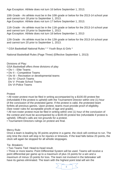Age Exception: Athlete does not turn 16 before September 1, 2013.

10th Grade - An athlete must be in the 10th grade or below for the 2013-14 school year and cannot turn 18 prior to September 1, 2013. Age Exception: Athlete does not turn 17 before September 1, 2013.

11th Grade - An athlete must be in the 11th grade or below for the 2013-14 school year and cannot turn 19 prior to September 1, 2013. Age Exception: Athlete does not turn 18 before September 1, 2013

12th Grade - An athlete must be in the 12th grade or below for the 2013-14 school year and cannot turn 20 prior to September 1, 2013.

\* GSA Basketball National Rules \* \* Youth Boys & Girls \*

National Basketball Rules (Page Three) (Effective September 1, 2013)

Divisions of Play: GSA Basketball offers three divisions of play

- Div I Elite Teams
- Div II Competitive Teams
- Div III Recreation or developmental teams Div IV- Church Teams Div V- Private School Teams Div VI-Police Teams

Protest

• All roster protest must be filed in writing accompanied by a \$100.00 protest fee (refundable if the protest is upheld) with the Tournament Director within one (1) hour of the conclusion of the protested game. If the protest is valid, the protested team forfeits all previous games. Upon protest, teams must provide proof of eligibility. (See roster rules for acceptable proofs of age and grade).

• All non-roster protest must be filed in writing within one (1) hour of the conclusion of the contest and must be accompanied by a \$100.00 protest fee (refundable if protest is upheld). Official's calls are not grounds for a protest.

• Tournament Directors rulings on protest are final.

Mercy Rule:

Once a team is leading by 30 points anytime in a game, the clock will continue to run. The only time the clock will stop is for injuries or timeouts. If the lead falls below 20 points, the clock will again be stopped for all whistle stoppages.

Tie- Breakers:

• Two Teams Tied: Head-to-head result.

• Three or more teams: Point Differential System will be used. Teams will receive a point differential per game up to a maximum of plus 15 points for a win and a maximum of minus 15 points for loss. The team not involved in the tiebreaker will have its games eliminated. The team with the highest point total will win the